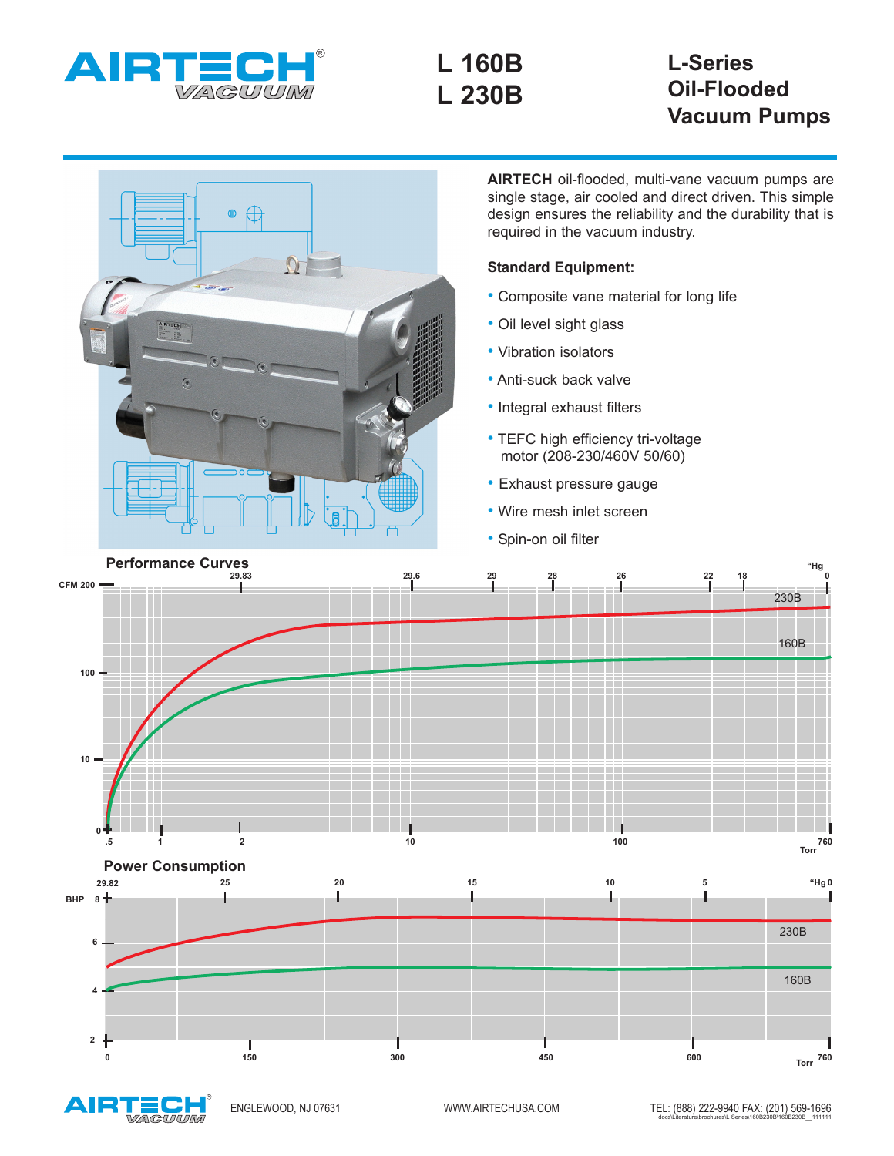

**L 160B L 230B**

## **L-Series Oil-Flooded Vacuum Pumps**

230B

**"Hg**

160B